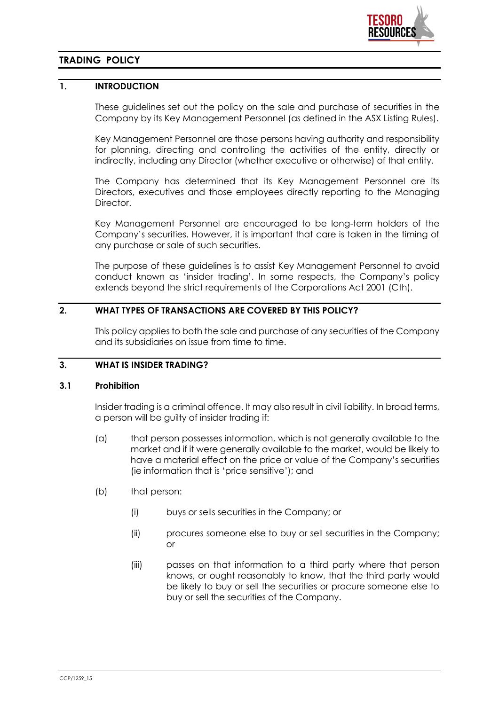

# **TRADING POLICY**

# **1. INTRODUCTION**

These guidelines set out the policy on the sale and purchase of securities in the Company by its Key Management Personnel (as defined in the ASX Listing Rules).

Key Management Personnel are those persons having authority and responsibility for planning, directing and controlling the activities of the entity, directly or indirectly, including any Director (whether executive or otherwise) of that entity.

The Company has determined that its Key Management Personnel are its Directors, executives and those employees directly reporting to the Managing **Director** 

Key Management Personnel are encouraged to be long-term holders of the Company's securities. However, it is important that care is taken in the timing of any purchase or sale of such securities.

The purpose of these guidelines is to assist Key Management Personnel to avoid conduct known as 'insider trading'. In some respects, the Company's policy extends beyond the strict requirements of the Corporations Act 2001 (Cth).

## **2. WHAT TYPES OF TRANSACTIONS ARE COVERED BY THIS POLICY?**

This policy applies to both the sale and purchase of any securities of the Company and its subsidiaries on issue from time to time.

# **3. WHAT IS INSIDER TRADING?**

#### **3.1 Prohibition**

Insider trading is a criminal offence. It may also result in civil liability. In broad terms, a person will be guilty of insider trading if:

- (a) that person possesses information, which is not generally available to the market and if it were generally available to the market, would be likely to have a material effect on the price or value of the Company's securities (ie information that is 'price sensitive'); and
- (b) that person:
	- (i) buys or sells securities in the Company; or
	- (ii) procures someone else to buy or sell securities in the Company; or
	- (iii) passes on that information to a third party where that person knows, or ought reasonably to know, that the third party would be likely to buy or sell the securities or procure someone else to buy or sell the securities of the Company.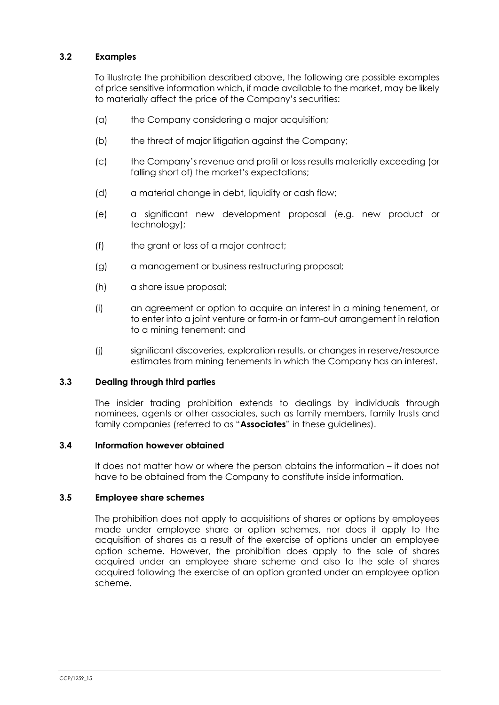# **3.2 Examples**

To illustrate the prohibition described above, the following are possible examples of price sensitive information which, if made available to the market, may be likely to materially affect the price of the Company's securities:

- (a) the Company considering a major acquisition;
- (b) the threat of major litigation against the Company;
- (c) the Company's revenue and profit or loss results materially exceeding (or falling short of) the market's expectations;
- (d) a material change in debt, liquidity or cash flow;
- (e) a significant new development proposal (e.g. new product or technology);
- (f) the grant or loss of a major contract;
- (g) a management or business restructuring proposal;
- (h) a share issue proposal;
- (i) an agreement or option to acquire an interest in a mining tenement, or to enter into a joint venture or farm-in or farm-out arrangement in relation to a mining tenement; and
- (j) significant discoveries, exploration results, or changes in reserve/resource estimates from mining tenements in which the Company has an interest.

#### **3.3 Dealing through third parties**

The insider trading prohibition extends to dealings by individuals through nominees, agents or other associates, such as family members, family trusts and family companies (referred to as "**Associates**" in these guidelines).

## **3.4 Information however obtained**

It does not matter how or where the person obtains the information – it does not have to be obtained from the Company to constitute inside information.

#### **3.5 Employee share schemes**

The prohibition does not apply to acquisitions of shares or options by employees made under employee share or option schemes, nor does it apply to the acquisition of shares as a result of the exercise of options under an employee option scheme. However, the prohibition does apply to the sale of shares acquired under an employee share scheme and also to the sale of shares acquired following the exercise of an option granted under an employee option scheme.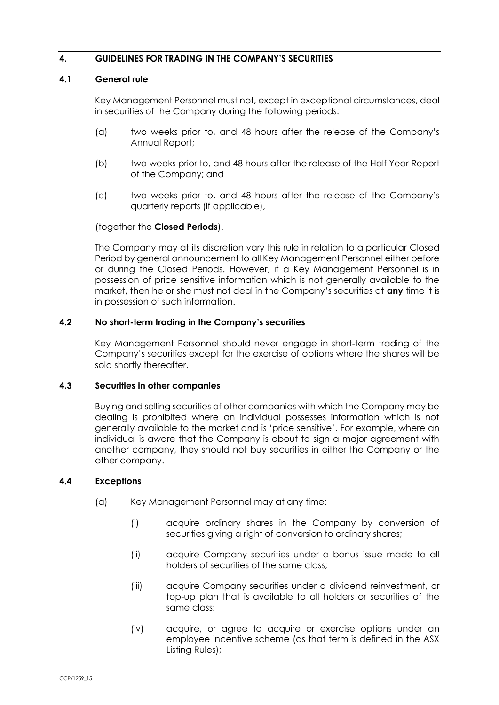## **4. GUIDELINES FOR TRADING IN THE COMPANY'S SECURITIES**

## <span id="page-2-0"></span>**4.1 General rule**

Key Management Personnel must not, except in exceptional circumstances, deal in securities of the Company during the following periods:

- (a) two weeks prior to, and 48 hours after the release of the Company's Annual Report;
- (b) two weeks prior to, and 48 hours after the release of the Half Year Report of the Company; and
- (c) two weeks prior to, and 48 hours after the release of the Company's quarterly reports (if applicable),

### (together the **Closed Periods**).

The Company may at its discretion vary this rule in relation to a particular Closed Period by general announcement to all Key Management Personnel either before or during the Closed Periods. However, if a Key Management Personnel is in possession of price sensitive information which is not generally available to the market, then he or she must not deal in the Company's securities at **any** time it is in possession of such information.

### **4.2 No short-term trading in the Company's securities**

Key Management Personnel should never engage in short-term trading of the Company's securities except for the exercise of options where the shares will be sold shortly thereafter.

#### **4.3 Securities in other companies**

Buying and selling securities of other companies with which the Company may be dealing is prohibited where an individual possesses information which is not generally available to the market and is 'price sensitive'. For example, where an individual is aware that the Company is about to sign a major agreement with another company, they should not buy securities in either the Company or the other company.

## **4.4 Exceptions**

- (a) Key Management Personnel may at any time:
	- (i) acquire ordinary shares in the Company by conversion of securities giving a right of conversion to ordinary shares;
	- (ii) acquire Company securities under a bonus issue made to all holders of securities of the same class;
	- (iii) acquire Company securities under a dividend reinvestment, or top-up plan that is available to all holders or securities of the same class;
	- (iv) acquire, or agree to acquire or exercise options under an employee incentive scheme (as that term is defined in the ASX Listing Rules);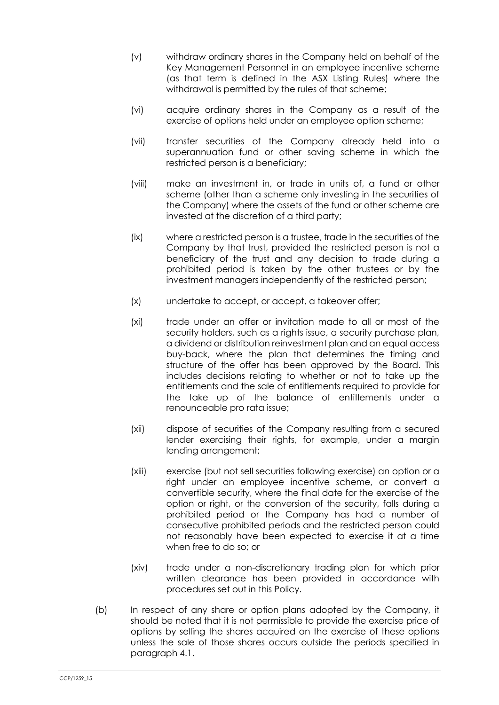- (v) withdraw ordinary shares in the Company held on behalf of the Key Management Personnel in an employee incentive scheme (as that term is defined in the ASX Listing Rules) where the withdrawal is permitted by the rules of that scheme;
- (vi) acquire ordinary shares in the Company as a result of the exercise of options held under an employee option scheme;
- (vii) transfer securities of the Company already held into a superannuation fund or other saving scheme in which the restricted person is a beneficiary;
- (viii) make an investment in, or trade in units of, a fund or other scheme (other than a scheme only investing in the securities of the Company) where the assets of the fund or other scheme are invested at the discretion of a third party;
- (ix) where a restricted person is a trustee, trade in the securities of the Company by that trust, provided the restricted person is not a beneficiary of the trust and any decision to trade during a prohibited period is taken by the other trustees or by the investment managers independently of the restricted person;
- (x) undertake to accept, or accept, a takeover offer;
- (xi) trade under an offer or invitation made to all or most of the security holders, such as a rights issue, a security purchase plan, a dividend or distribution reinvestment plan and an equal access buy-back, where the plan that determines the timing and structure of the offer has been approved by the Board. This includes decisions relating to whether or not to take up the entitlements and the sale of entitlements required to provide for the take up of the balance of entitlements under a renounceable pro rata issue;
- (xii) dispose of securities of the Company resulting from a secured lender exercising their rights, for example, under a margin lending arrangement;
- (xiii) exercise (but not sell securities following exercise) an option or a right under an employee incentive scheme, or convert a convertible security, where the final date for the exercise of the option or right, or the conversion of the security, falls during a prohibited period or the Company has had a number of consecutive prohibited periods and the restricted person could not reasonably have been expected to exercise it at a time when free to do so; or
- (xiv) trade under a non-discretionary trading plan for which prior written clearance has been provided in accordance with procedures set out in this Policy.
- (b) In respect of any share or option plans adopted by the Company, it should be noted that it is not permissible to provide the exercise price of options by selling the shares acquired on the exercise of these options unless the sale of those shares occurs outside the periods specified in paragraph [4.1.](#page-2-0)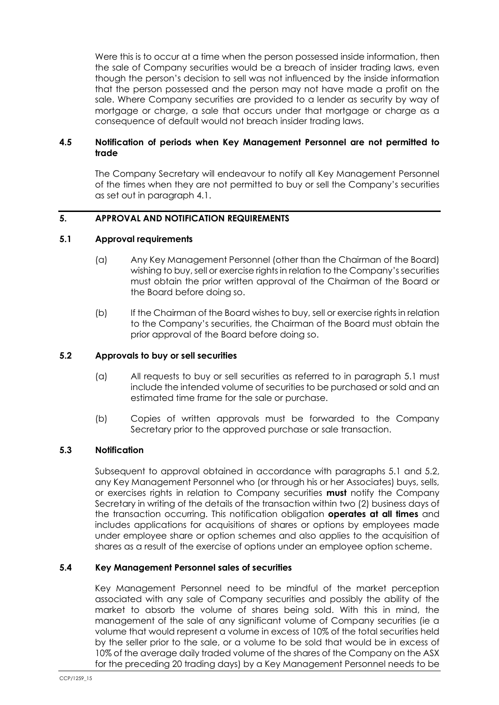Were this is to occur at a time when the person possessed inside information, then the sale of Company securities would be a breach of insider trading laws, even though the person's decision to sell was not influenced by the inside information that the person possessed and the person may not have made a profit on the sale. Where Company securities are provided to a lender as security by way of mortgage or charge, a sale that occurs under that mortgage or charge as a consequence of default would not breach insider trading laws.

## **4.5 Notification of periods when Key Management Personnel are not permitted to trade**

The Company Secretary will endeavour to notify all Key Management Personnel of the times when they are not permitted to buy or sell the Company's securities as set out in paragraph [4.1.](#page-2-0)

# **5. APPROVAL AND NOTIFICATION REQUIREMENTS**

### <span id="page-4-0"></span>**5.1 Approval requirements**

- (a) Any Key Management Personnel (other than the Chairman of the Board) wishing to buy, sell or exercise rights in relation to the Company's securities must obtain the prior written approval of the Chairman of the Board or the Board before doing so.
- (b) If the Chairman of the Board wishes to buy, sell or exercise rights in relation to the Company's securities, the Chairman of the Board must obtain the prior approval of the Board before doing so.

## <span id="page-4-1"></span>**5.2 Approvals to buy or sell securities**

- (a) All requests to buy or sell securities as referred to in paragraph [5.1](#page-4-0) must include the intended volume of securities to be purchased or sold and an estimated time frame for the sale or purchase.
- (b) Copies of written approvals must be forwarded to the Company Secretary prior to the approved purchase or sale transaction.

## **5.3 Notification**

Subsequent to approval obtained in accordance with paragraphs [5.1](#page-4-0) and [5.2,](#page-4-1) any Key Management Personnel who (or through his or her Associates) buys, sells, or exercises rights in relation to Company securities **must** notify the Company Secretary in writing of the details of the transaction within two (2) business days of the transaction occurring. This notification obligation **operates at all times** and includes applications for acquisitions of shares or options by employees made under employee share or option schemes and also applies to the acquisition of shares as a result of the exercise of options under an employee option scheme.

#### **5.4 Key Management Personnel sales of securities**

Key Management Personnel need to be mindful of the market perception associated with any sale of Company securities and possibly the ability of the market to absorb the volume of shares being sold. With this in mind, the management of the sale of any significant volume of Company securities (ie a volume that would represent a volume in excess of 10% of the total securities held by the seller prior to the sale, or a volume to be sold that would be in excess of 10% of the average daily traded volume of the shares of the Company on the ASX for the preceding 20 trading days) by a Key Management Personnel needs to be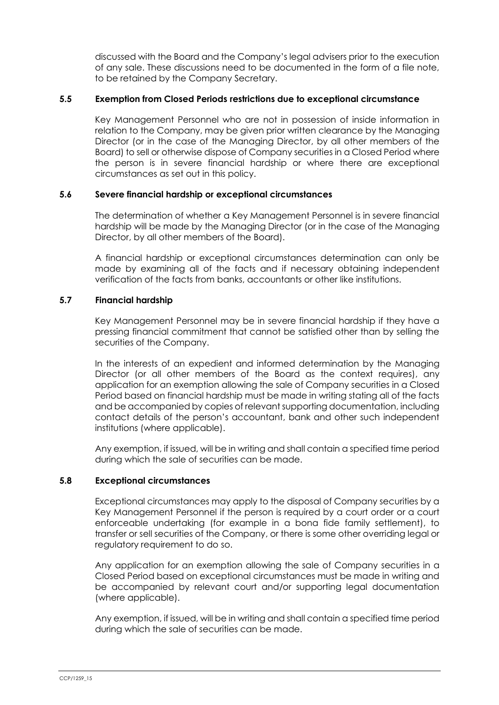discussed with the Board and the Company's legal advisers prior to the execution of any sale. These discussions need to be documented in the form of a file note, to be retained by the Company Secretary.

## **5.5 Exemption from Closed Periods restrictions due to exceptional circumstance**

Key Management Personnel who are not in possession of inside information in relation to the Company, may be given prior written clearance by the Managing Director (or in the case of the Managing Director, by all other members of the Board) to sell or otherwise dispose of Company securities in a Closed Period where the person is in severe financial hardship or where there are exceptional circumstances as set out in this policy.

### **5.6 Severe financial hardship or exceptional circumstances**

The determination of whether a Key Management Personnel is in severe financial hardship will be made by the Managing Director (or in the case of the Managing Director, by all other members of the Board).

A financial hardship or exceptional circumstances determination can only be made by examining all of the facts and if necessary obtaining independent verification of the facts from banks, accountants or other like institutions.

## **5.7 Financial hardship**

Key Management Personnel may be in severe financial hardship if they have a pressing financial commitment that cannot be satisfied other than by selling the securities of the Company.

In the interests of an expedient and informed determination by the Managing Director (or all other members of the Board as the context requires), any application for an exemption allowing the sale of Company securities in a Closed Period based on financial hardship must be made in writing stating all of the facts and be accompanied by copies of relevant supporting documentation, including contact details of the person's accountant, bank and other such independent institutions (where applicable).

Any exemption, if issued, will be in writing and shall contain a specified time period during which the sale of securities can be made.

#### **5.8 Exceptional circumstances**

Exceptional circumstances may apply to the disposal of Company securities by a Key Management Personnel if the person is required by a court order or a court enforceable undertaking (for example in a bona fide family settlement), to transfer or sell securities of the Company, or there is some other overriding legal or regulatory requirement to do so.

Any application for an exemption allowing the sale of Company securities in a Closed Period based on exceptional circumstances must be made in writing and be accompanied by relevant court and/or supporting legal documentation (where applicable).

Any exemption, if issued, will be in writing and shall contain a specified time period during which the sale of securities can be made.